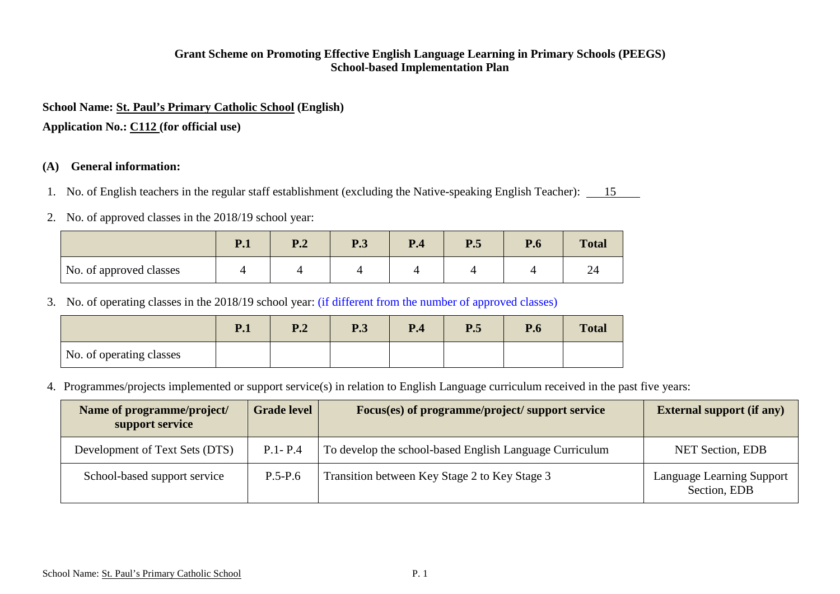### **Grant Scheme on Promoting Effective English Language Learning in Primary Schools (PEEGS) School-based Implementation Plan**

#### **School Name: St. Paul's Primary Catholic School (English)**

**Application No.: C112 (for official use)**

### **(A) General information:**

- 1. No. of English teachers in the regular staff establishment (excluding the Native-speaking English Teacher): 15
- 2. No. of approved classes in the 2018/19 school year:

|                         | D <sub>1</sub><br>$\mathbf{1} \cdot \mathbf{1}$ | D 1<br>▪•⊿ | D 2<br>r. J | P <sub>.4</sub> | P.5 | P.6 | <b>Total</b> |
|-------------------------|-------------------------------------------------|------------|-------------|-----------------|-----|-----|--------------|
| No. of approved classes |                                                 |            |             |                 |     |     | ∼<br>∼       |

3. No. of operating classes in the 2018/19 school year: (if different from the number of approved classes)

|                          | P.1 | P.2 | P.3 | P.4 | P.5 | P.6 | <b>Total</b> |
|--------------------------|-----|-----|-----|-----|-----|-----|--------------|
| No. of operating classes |     |     |     |     |     |     |              |

4. Programmes/projects implemented or support service(s) in relation to English Language curriculum received in the past five years:

| Name of programme/project/<br>support service | Grade level | Focus(es) of programme/project/ support service         | <b>External support (if any)</b>          |
|-----------------------------------------------|-------------|---------------------------------------------------------|-------------------------------------------|
| Development of Text Sets (DTS)                | $P.1 - P.4$ | To develop the school-based English Language Curriculum | <b>NET Section, EDB</b>                   |
| School-based support service                  | $P.5-P.6$   | Transition between Key Stage 2 to Key Stage 3           | Language Learning Support<br>Section, EDB |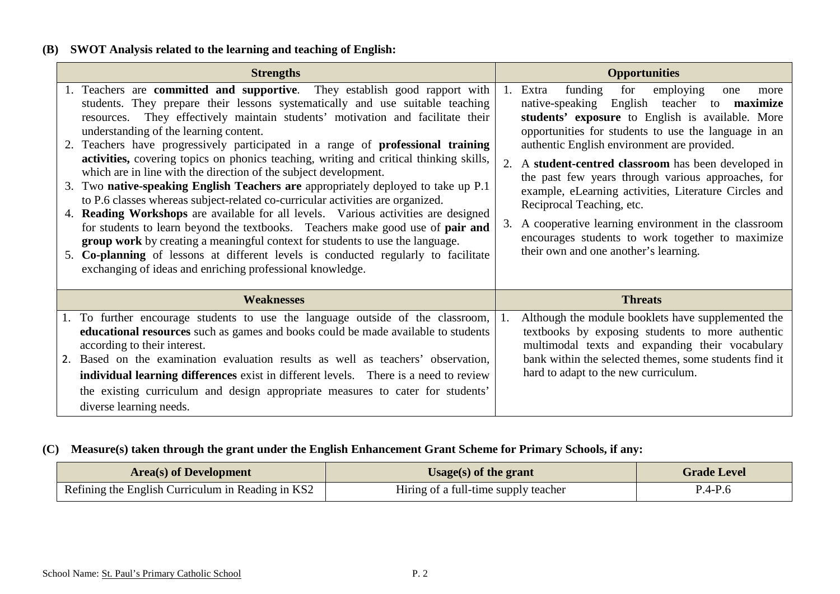## **(B) SWOT Analysis related to the learning and teaching of English:**

| <b>Strengths</b>                                                                                                                                                                                                                                                                                                                                                                                                                                                                                                                                                                                                                                                                                                                                                                                                                                                                                                                                                                                                                                                                                                                      | <b>Opportunities</b>                                                                                                                                                                                                                                                                                                                                                                                                                                                                                                                                                                                                               |
|---------------------------------------------------------------------------------------------------------------------------------------------------------------------------------------------------------------------------------------------------------------------------------------------------------------------------------------------------------------------------------------------------------------------------------------------------------------------------------------------------------------------------------------------------------------------------------------------------------------------------------------------------------------------------------------------------------------------------------------------------------------------------------------------------------------------------------------------------------------------------------------------------------------------------------------------------------------------------------------------------------------------------------------------------------------------------------------------------------------------------------------|------------------------------------------------------------------------------------------------------------------------------------------------------------------------------------------------------------------------------------------------------------------------------------------------------------------------------------------------------------------------------------------------------------------------------------------------------------------------------------------------------------------------------------------------------------------------------------------------------------------------------------|
| 1. Teachers are committed and supportive. They establish good rapport with<br>students. They prepare their lessons systematically and use suitable teaching<br>They effectively maintain students' motivation and facilitate their<br>resources.<br>understanding of the learning content.<br>2. Teachers have progressively participated in a range of <b>professional training</b><br>activities, covering topics on phonics teaching, writing and critical thinking skills,<br>which are in line with the direction of the subject development.<br>3. Two native-speaking English Teachers are appropriately deployed to take up P.1<br>to P.6 classes whereas subject-related co-curricular activities are organized.<br>4. Reading Workshops are available for all levels. Various activities are designed<br>for students to learn beyond the textbooks. Teachers make good use of pair and<br>group work by creating a meaningful context for students to use the language.<br>5. Co-planning of lessons at different levels is conducted regularly to facilitate<br>exchanging of ideas and enriching professional knowledge. | funding<br>for<br>1. Extra<br>employing<br>one<br>more<br>native-speaking English teacher to <b>maximize</b><br>students' exposure to English is available. More<br>opportunities for students to use the language in an<br>authentic English environment are provided.<br>2. A student-centred classroom has been developed in<br>the past few years through various approaches, for<br>example, eLearning activities, Literature Circles and<br>Reciprocal Teaching, etc.<br>3. A cooperative learning environment in the classroom<br>encourages students to work together to maximize<br>their own and one another's learning. |
| <b>Weaknesses</b>                                                                                                                                                                                                                                                                                                                                                                                                                                                                                                                                                                                                                                                                                                                                                                                                                                                                                                                                                                                                                                                                                                                     | <b>Threats</b>                                                                                                                                                                                                                                                                                                                                                                                                                                                                                                                                                                                                                     |
| 1. To further encourage students to use the language outside of the classroom,<br>educational resources such as games and books could be made available to students<br>according to their interest.<br>Based on the examination evaluation results as well as teachers' observation,<br>2.<br>individual learning differences exist in different levels. There is a need to review<br>the existing curriculum and design appropriate measures to cater for students'<br>diverse learning needs.                                                                                                                                                                                                                                                                                                                                                                                                                                                                                                                                                                                                                                       | Although the module booklets have supplemented the<br>textbooks by exposing students to more authentic<br>multimodal texts and expanding their vocabulary<br>bank within the selected themes, some students find it<br>hard to adapt to the new curriculum.                                                                                                                                                                                                                                                                                                                                                                        |

## **(C) Measure(s) taken through the grant under the English Enhancement Grant Scheme for Primary Schools, if any:**

| <b>Area</b> (s) of Development                    | Usage(s) of the grant                | <b>Grade Level</b> |
|---------------------------------------------------|--------------------------------------|--------------------|
| Refining the English Curriculum in Reading in KS2 | Hiring of a full-time supply teacher | $P.4-P.6$          |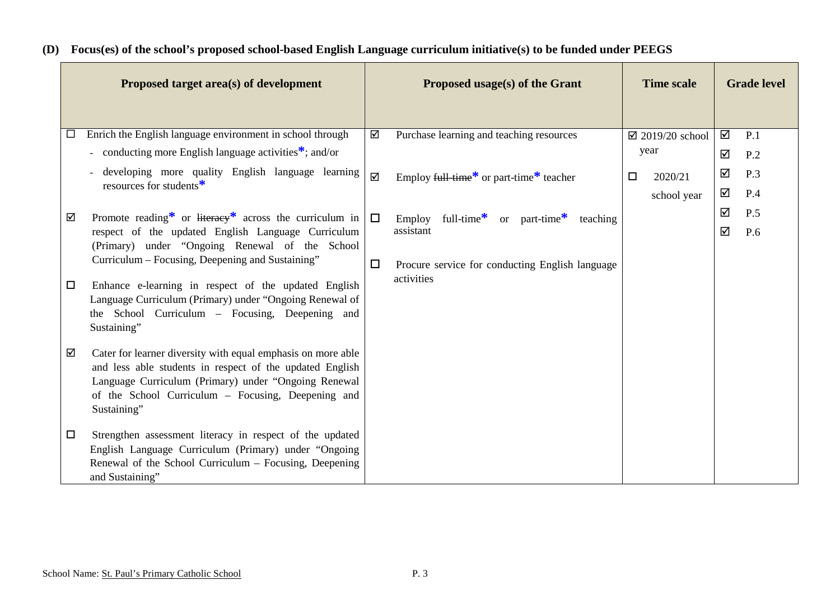|        | Proposed target area(s) of development                                                                                                                                                                                                                |        | Proposed usage(s) of the Grant                                             | <b>Time scale</b>          |   | <b>Grade level</b> |
|--------|-------------------------------------------------------------------------------------------------------------------------------------------------------------------------------------------------------------------------------------------------------|--------|----------------------------------------------------------------------------|----------------------------|---|--------------------|
| $\Box$ | Enrich the English language environment in school through                                                                                                                                                                                             | ☑      | Purchase learning and teaching resources                                   | $\boxtimes$ 2019/20 school | ☑ | P.1                |
|        | - conducting more English language activities <sup><math>*</math></sup> ; and/or                                                                                                                                                                      |        |                                                                            | year                       | ☑ | P.2                |
|        | developing more quality English language learning                                                                                                                                                                                                     | ☑      | Employ full-time <sup>*</sup> or part-time <sup>*</sup> teacher            | 2020/21<br>$\Box$          | ☑ | P.3                |
|        | resources for students <sup>*</sup>                                                                                                                                                                                                                   |        |                                                                            | school year                | ☑ | P.4                |
| ☑      | Promote reading* or literacy* across the curriculum in                                                                                                                                                                                                | $\Box$ | full-time <sup>*</sup> or part-time <sup>*</sup><br>Employ<br>teaching     |                            | ☑ | P.5                |
| $\Box$ | respect of the updated English Language Curriculum<br>(Primary) under "Ongoing Renewal of the School<br>Curriculum – Focusing, Deepening and Sustaining"<br>Enhance e-learning in respect of the updated English                                      | $\Box$ | assistant<br>Procure service for conducting English language<br>activities |                            | ☑ | P.6                |
|        | Language Curriculum (Primary) under "Ongoing Renewal of<br>the School Curriculum – Focusing, Deepening and<br>Sustaining"                                                                                                                             |        |                                                                            |                            |   |                    |
| ☑      | Cater for learner diversity with equal emphasis on more able<br>and less able students in respect of the updated English<br>Language Curriculum (Primary) under "Ongoing Renewal<br>of the School Curriculum – Focusing, Deepening and<br>Sustaining" |        |                                                                            |                            |   |                    |
|        | Strengthen assessment literacy in respect of the updated<br>$\Box$<br>English Language Curriculum (Primary) under "Ongoing<br>Renewal of the School Curriculum - Focusing, Deepening<br>and Sustaining"                                               |        |                                                                            |                            |   |                    |

## **(D) Focus(es) of the school's proposed school-based English Language curriculum initiative(s) to be funded under PEEGS**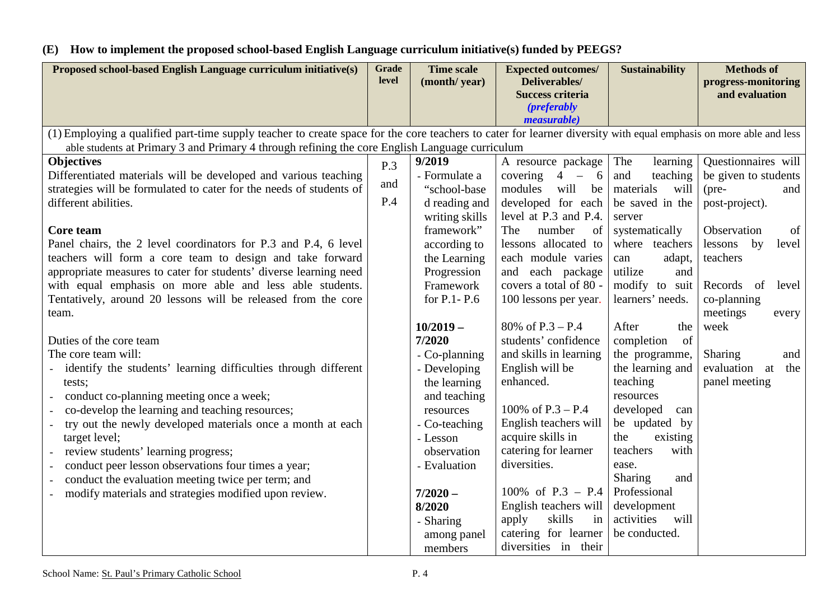# **(E) How to implement the proposed school-based English Language curriculum initiative(s) funded by PEEGS?**

| Proposed school-based English Language curriculum initiative(s)                                                                                                                                                                                                                                                                                                                                                                                                                                                                                                                                                                                                                                                                                                                                                                                                                                                                                                                                                                                                      | <b>Grade</b><br>level | <b>Time scale</b><br>(month/year)                                                                                                                                                                                                                                                                                                                               | <b>Expected outcomes/</b><br>Deliverables/<br><b>Success criteria</b>                                                                                                                                                                                                                                                                                                                                                                                                                                                           | <b>Sustainability</b>                                                                                                                                                                                                                                                                                                                                                                                                                      | <b>Methods of</b><br>progress-monitoring<br>and evaluation                                                                                                                                                                                                                |  |  |  |
|----------------------------------------------------------------------------------------------------------------------------------------------------------------------------------------------------------------------------------------------------------------------------------------------------------------------------------------------------------------------------------------------------------------------------------------------------------------------------------------------------------------------------------------------------------------------------------------------------------------------------------------------------------------------------------------------------------------------------------------------------------------------------------------------------------------------------------------------------------------------------------------------------------------------------------------------------------------------------------------------------------------------------------------------------------------------|-----------------------|-----------------------------------------------------------------------------------------------------------------------------------------------------------------------------------------------------------------------------------------------------------------------------------------------------------------------------------------------------------------|---------------------------------------------------------------------------------------------------------------------------------------------------------------------------------------------------------------------------------------------------------------------------------------------------------------------------------------------------------------------------------------------------------------------------------------------------------------------------------------------------------------------------------|--------------------------------------------------------------------------------------------------------------------------------------------------------------------------------------------------------------------------------------------------------------------------------------------------------------------------------------------------------------------------------------------------------------------------------------------|---------------------------------------------------------------------------------------------------------------------------------------------------------------------------------------------------------------------------------------------------------------------------|--|--|--|
|                                                                                                                                                                                                                                                                                                                                                                                                                                                                                                                                                                                                                                                                                                                                                                                                                                                                                                                                                                                                                                                                      |                       |                                                                                                                                                                                                                                                                                                                                                                 | <i>(preferably)</i><br><i>measurable</i> )                                                                                                                                                                                                                                                                                                                                                                                                                                                                                      |                                                                                                                                                                                                                                                                                                                                                                                                                                            |                                                                                                                                                                                                                                                                           |  |  |  |
| (1) Employing a qualified part-time supply teacher to create space for the core teachers to cater for learner diversity with equal emphasis on more able and less<br>able students at Primary 3 and Primary 4 through refining the core English Language curriculum                                                                                                                                                                                                                                                                                                                                                                                                                                                                                                                                                                                                                                                                                                                                                                                                  |                       |                                                                                                                                                                                                                                                                                                                                                                 |                                                                                                                                                                                                                                                                                                                                                                                                                                                                                                                                 |                                                                                                                                                                                                                                                                                                                                                                                                                                            |                                                                                                                                                                                                                                                                           |  |  |  |
| <b>Objectives</b><br>Differentiated materials will be developed and various teaching<br>strategies will be formulated to cater for the needs of students of<br>different abilities.<br>Core team<br>Panel chairs, the 2 level coordinators for P.3 and P.4, 6 level<br>teachers will form a core team to design and take forward<br>appropriate measures to cater for students' diverse learning need<br>with equal emphasis on more able and less able students.<br>Tentatively, around 20 lessons will be released from the core<br>team.<br>Duties of the core team<br>The core team will:<br>identify the students' learning difficulties through different<br>tests;<br>conduct co-planning meeting once a week;<br>co-develop the learning and teaching resources;<br>try out the newly developed materials once a month at each<br>target level;<br>review students' learning progress;<br>conduct peer lesson observations four times a year;<br>conduct the evaluation meeting twice per term; and<br>modify materials and strategies modified upon review. | P.3<br>and<br>P.4     | 9/2019<br>- Formulate a<br>"school-base<br>d reading and<br>writing skills<br>framework"<br>according to<br>the Learning<br>Progression<br>Framework<br>for P.1- P.6<br>$10/2019 -$<br>7/2020<br>- Co-planning<br>- Developing<br>the learning<br>and teaching<br>resources<br>- Co-teaching<br>- Lesson<br>observation<br>- Evaluation<br>$7/2020 -$<br>8/2020 | A resource package<br>$4 - 6$<br>covering<br>modules<br>will be<br>developed for each<br>level at P.3 and P.4.<br>The<br>number<br>of<br>lessons allocated to<br>each module varies<br>and each package<br>covers a total of 80 -<br>100 lessons per year.<br>80% of $P.3 - P.4$<br>students' confidence<br>and skills in learning<br>English will be<br>enhanced.<br>100% of $P.3 - P.4$<br>English teachers will<br>acquire skills in<br>catering for learner<br>diversities.<br>100% of $P.3 - P.4$<br>English teachers will | The<br>learning<br>and<br>teaching<br>materials<br>will<br>be saved in the<br>server<br>systematically<br>where teachers<br>adapt,<br>can<br>utilize<br>and<br>modify to suit<br>learners' needs.<br>After<br>the<br>of<br>completion<br>the programme,<br>the learning and<br>teaching<br>resources<br>developed<br>can<br>be updated by<br>the<br>existing<br>teachers<br>with<br>ease.<br>Sharing<br>and<br>Professional<br>development | Questionnaires will<br>be given to students<br>(pre-<br>and<br>post-project).<br>of<br>Observation<br>lessons<br>by<br>level<br>teachers<br>Records of<br>level<br>co-planning<br>meetings<br>every<br>week<br>Sharing<br>and<br>evaluation<br>the<br>at<br>panel meeting |  |  |  |
|                                                                                                                                                                                                                                                                                                                                                                                                                                                                                                                                                                                                                                                                                                                                                                                                                                                                                                                                                                                                                                                                      |                       | - Sharing<br>among panel<br>members                                                                                                                                                                                                                                                                                                                             | skills<br>apply<br>in<br>catering for learner<br>diversities in their                                                                                                                                                                                                                                                                                                                                                                                                                                                           | will<br>activities<br>be conducted.                                                                                                                                                                                                                                                                                                                                                                                                        |                                                                                                                                                                                                                                                                           |  |  |  |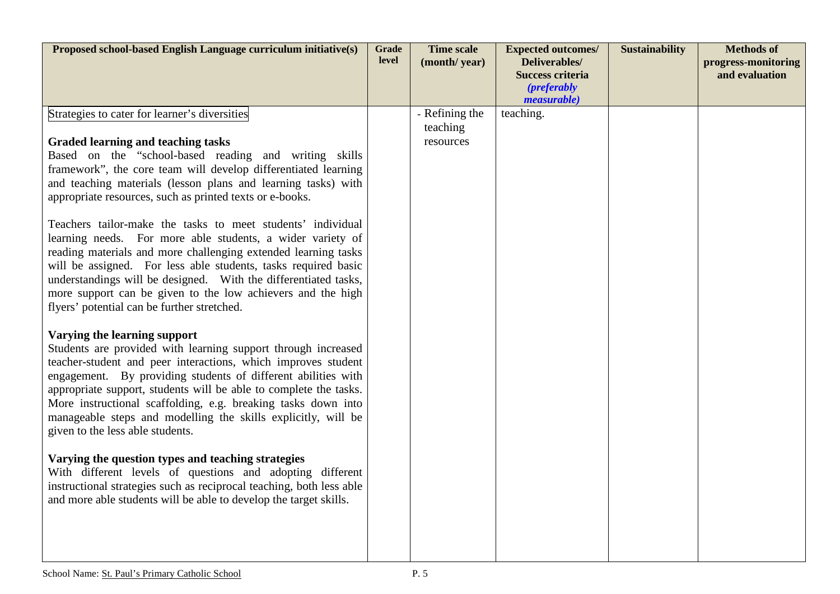| Proposed school-based English Language curriculum initiative(s)                                                                                                                                                                                                                                                                                                                                                                                                            | <b>Grade</b><br>level | <b>Time scale</b><br>(month/year) | <b>Expected outcomes/</b><br>Deliverables/<br><b>Success criteria</b> | <b>Sustainability</b> | <b>Methods of</b><br>progress-monitoring<br>and evaluation |
|----------------------------------------------------------------------------------------------------------------------------------------------------------------------------------------------------------------------------------------------------------------------------------------------------------------------------------------------------------------------------------------------------------------------------------------------------------------------------|-----------------------|-----------------------------------|-----------------------------------------------------------------------|-----------------------|------------------------------------------------------------|
|                                                                                                                                                                                                                                                                                                                                                                                                                                                                            |                       |                                   | <i>(preferably)</i><br><i>measurable</i> )                            |                       |                                                            |
| Strategies to cater for learner's diversities                                                                                                                                                                                                                                                                                                                                                                                                                              |                       | - Refining the<br>teaching        | teaching.                                                             |                       |                                                            |
| <b>Graded learning and teaching tasks</b><br>Based on the "school-based reading and writing skills<br>framework", the core team will develop differentiated learning<br>and teaching materials (lesson plans and learning tasks) with<br>appropriate resources, such as printed texts or e-books.                                                                                                                                                                          |                       | resources                         |                                                                       |                       |                                                            |
| Teachers tailor-make the tasks to meet students' individual<br>learning needs. For more able students, a wider variety of<br>reading materials and more challenging extended learning tasks<br>will be assigned. For less able students, tasks required basic<br>understandings will be designed. With the differentiated tasks,<br>more support can be given to the low achievers and the high<br>flyers' potential can be further stretched.                             |                       |                                   |                                                                       |                       |                                                            |
| Varying the learning support<br>Students are provided with learning support through increased<br>teacher-student and peer interactions, which improves student<br>engagement. By providing students of different abilities with<br>appropriate support, students will be able to complete the tasks.<br>More instructional scaffolding, e.g. breaking tasks down into<br>manageable steps and modelling the skills explicitly, will be<br>given to the less able students. |                       |                                   |                                                                       |                       |                                                            |
| Varying the question types and teaching strategies<br>With different levels of questions and adopting different<br>instructional strategies such as reciprocal teaching, both less able<br>and more able students will be able to develop the target skills.                                                                                                                                                                                                               |                       |                                   |                                                                       |                       |                                                            |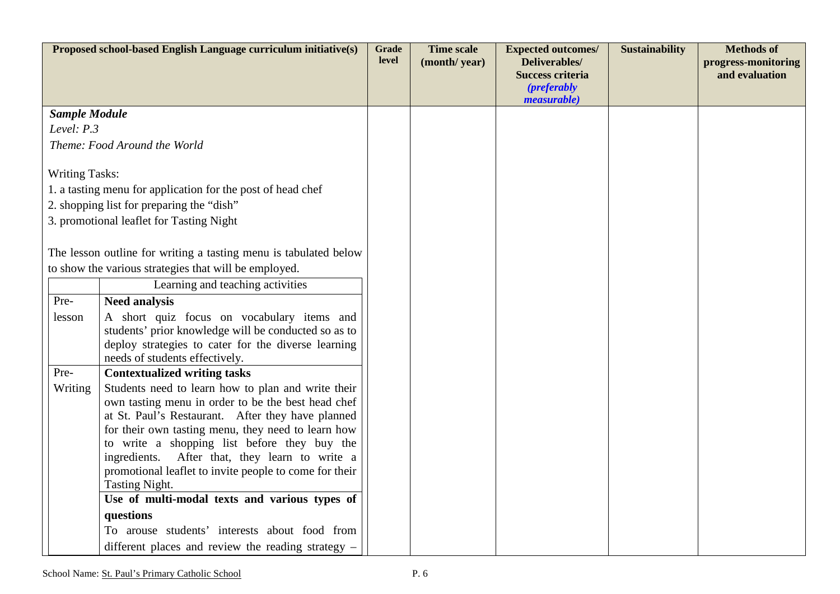|                       | Proposed school-based English Language curriculum initiative(s)                                | <b>Grade</b> | <b>Time scale</b> | <b>Expected outcomes/</b>                                                                     | <b>Sustainability</b> | <b>Methods of</b>                     |
|-----------------------|------------------------------------------------------------------------------------------------|--------------|-------------------|-----------------------------------------------------------------------------------------------|-----------------------|---------------------------------------|
|                       |                                                                                                | <b>level</b> | (month/year)      | <b>Deliverables/</b><br><b>Success criteria</b><br><i>(preferably)</i><br><i>measurable</i> ) |                       | progress-monitoring<br>and evaluation |
| <b>Sample Module</b>  |                                                                                                |              |                   |                                                                                               |                       |                                       |
| Level: $P.3$          |                                                                                                |              |                   |                                                                                               |                       |                                       |
|                       | Theme: Food Around the World                                                                   |              |                   |                                                                                               |                       |                                       |
| <b>Writing Tasks:</b> |                                                                                                |              |                   |                                                                                               |                       |                                       |
|                       | 1. a tasting menu for application for the post of head chef                                    |              |                   |                                                                                               |                       |                                       |
|                       | 2. shopping list for preparing the "dish"                                                      |              |                   |                                                                                               |                       |                                       |
|                       | 3. promotional leaflet for Tasting Night                                                       |              |                   |                                                                                               |                       |                                       |
|                       |                                                                                                |              |                   |                                                                                               |                       |                                       |
|                       | The lesson outline for writing a tasting menu is tabulated below                               |              |                   |                                                                                               |                       |                                       |
|                       | to show the various strategies that will be employed.                                          |              |                   |                                                                                               |                       |                                       |
|                       | Learning and teaching activities                                                               |              |                   |                                                                                               |                       |                                       |
| Pre-                  | <b>Need analysis</b>                                                                           |              |                   |                                                                                               |                       |                                       |
| lesson                | A short quiz focus on vocabulary items and                                                     |              |                   |                                                                                               |                       |                                       |
|                       | students' prior knowledge will be conducted so as to                                           |              |                   |                                                                                               |                       |                                       |
|                       | deploy strategies to cater for the diverse learning<br>needs of students effectively.          |              |                   |                                                                                               |                       |                                       |
| Pre-                  | <b>Contextualized writing tasks</b>                                                            |              |                   |                                                                                               |                       |                                       |
| Writing               | Students need to learn how to plan and write their                                             |              |                   |                                                                                               |                       |                                       |
|                       | own tasting menu in order to be the best head chef                                             |              |                   |                                                                                               |                       |                                       |
|                       | at St. Paul's Restaurant. After they have planned                                              |              |                   |                                                                                               |                       |                                       |
|                       | for their own tasting menu, they need to learn how                                             |              |                   |                                                                                               |                       |                                       |
|                       | to write a shopping list before they buy the<br>ingredients. After that, they learn to write a |              |                   |                                                                                               |                       |                                       |
|                       | promotional leaflet to invite people to come for their                                         |              |                   |                                                                                               |                       |                                       |
|                       | Tasting Night.                                                                                 |              |                   |                                                                                               |                       |                                       |
|                       | Use of multi-modal texts and various types of                                                  |              |                   |                                                                                               |                       |                                       |
|                       | questions                                                                                      |              |                   |                                                                                               |                       |                                       |
|                       | To arouse students' interests about food from                                                  |              |                   |                                                                                               |                       |                                       |
|                       | different places and review the reading strategy -                                             |              |                   |                                                                                               |                       |                                       |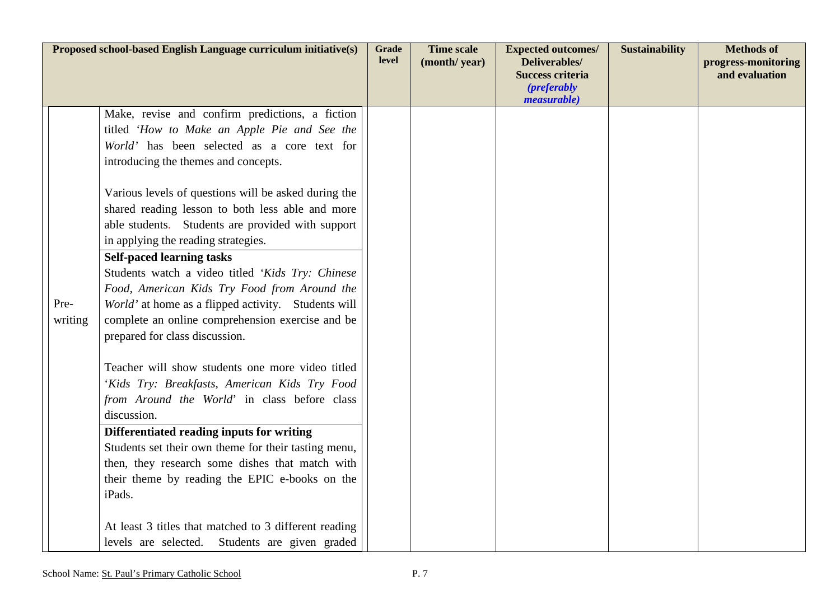|                 | Proposed school-based English Language curriculum initiative(s)                                                                                                                                                                                                                                                                                                                                                                                                                                                                                                                                                                                                                                                                                                                                                                                                                                                                                                                                                                                                             | <b>Grade</b><br>level | <b>Time scale</b><br>(month/year) | <b>Expected outcomes/</b><br>Deliverables/<br><b>Success criteria</b><br><i>(preferably)</i> | <b>Sustainability</b> | <b>Methods of</b><br>progress-monitoring<br>and evaluation |
|-----------------|-----------------------------------------------------------------------------------------------------------------------------------------------------------------------------------------------------------------------------------------------------------------------------------------------------------------------------------------------------------------------------------------------------------------------------------------------------------------------------------------------------------------------------------------------------------------------------------------------------------------------------------------------------------------------------------------------------------------------------------------------------------------------------------------------------------------------------------------------------------------------------------------------------------------------------------------------------------------------------------------------------------------------------------------------------------------------------|-----------------------|-----------------------------------|----------------------------------------------------------------------------------------------|-----------------------|------------------------------------------------------------|
| Pre-<br>writing | Make, revise and confirm predictions, a fiction<br>titled 'How to Make an Apple Pie and See the<br>World' has been selected as a core text for<br>introducing the themes and concepts.<br>Various levels of questions will be asked during the<br>shared reading lesson to both less able and more<br>able students. Students are provided with support<br>in applying the reading strategies.<br><b>Self-paced learning tasks</b><br>Students watch a video titled 'Kids Try: Chinese<br>Food, American Kids Try Food from Around the<br>World' at home as a flipped activity. Students will<br>complete an online comprehension exercise and be<br>prepared for class discussion.<br>Teacher will show students one more video titled<br>'Kids Try: Breakfasts, American Kids Try Food<br>from Around the World' in class before class<br>discussion.<br>Differentiated reading inputs for writing<br>Students set their own theme for their tasting menu,<br>then, they research some dishes that match with<br>their theme by reading the EPIC e-books on the<br>iPads. |                       |                                   | <i>measurable</i> )                                                                          |                       |                                                            |
|                 | At least 3 titles that matched to 3 different reading<br>levels are selected. Students are given graded                                                                                                                                                                                                                                                                                                                                                                                                                                                                                                                                                                                                                                                                                                                                                                                                                                                                                                                                                                     |                       |                                   |                                                                                              |                       |                                                            |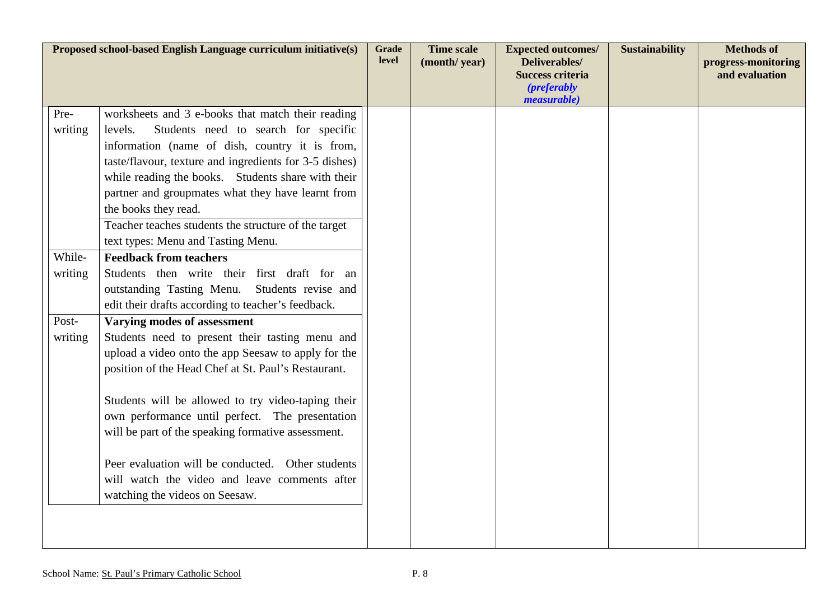|         | Proposed school-based English Language curriculum initiative(s)                                          | <b>Grade</b><br><b>level</b> | <b>Time scale</b><br>(month/year) | <b>Expected outcomes/</b><br>Deliverables/<br><b>Success criteria</b><br><i>(preferably)</i><br>measurable) | <b>Sustainability</b> | <b>Methods of</b><br>progress-monitoring<br>and evaluation |
|---------|----------------------------------------------------------------------------------------------------------|------------------------------|-----------------------------------|-------------------------------------------------------------------------------------------------------------|-----------------------|------------------------------------------------------------|
| Pre-    | worksheets and 3 e-books that match their reading                                                        |                              |                                   |                                                                                                             |                       |                                                            |
| writing | Students need to search for specific<br>levels.                                                          |                              |                                   |                                                                                                             |                       |                                                            |
|         | information (name of dish, country it is from,<br>taste/flavour, texture and ingredients for 3-5 dishes) |                              |                                   |                                                                                                             |                       |                                                            |
|         | while reading the books. Students share with their                                                       |                              |                                   |                                                                                                             |                       |                                                            |
|         | partner and groupmates what they have learnt from                                                        |                              |                                   |                                                                                                             |                       |                                                            |
|         | the books they read.                                                                                     |                              |                                   |                                                                                                             |                       |                                                            |
|         | Teacher teaches students the structure of the target                                                     |                              |                                   |                                                                                                             |                       |                                                            |
|         | text types: Menu and Tasting Menu.                                                                       |                              |                                   |                                                                                                             |                       |                                                            |
| While-  | <b>Feedback from teachers</b>                                                                            |                              |                                   |                                                                                                             |                       |                                                            |
| writing | Students then write their first draft for an<br>outstanding Tasting Menu. Students revise and            |                              |                                   |                                                                                                             |                       |                                                            |
|         | edit their drafts according to teacher's feedback.                                                       |                              |                                   |                                                                                                             |                       |                                                            |
| Post-   | Varying modes of assessment                                                                              |                              |                                   |                                                                                                             |                       |                                                            |
| writing | Students need to present their tasting menu and                                                          |                              |                                   |                                                                                                             |                       |                                                            |
|         | upload a video onto the app Seesaw to apply for the                                                      |                              |                                   |                                                                                                             |                       |                                                            |
|         | position of the Head Chef at St. Paul's Restaurant.                                                      |                              |                                   |                                                                                                             |                       |                                                            |
|         | Students will be allowed to try video-taping their                                                       |                              |                                   |                                                                                                             |                       |                                                            |
|         | own performance until perfect. The presentation                                                          |                              |                                   |                                                                                                             |                       |                                                            |
|         | will be part of the speaking formative assessment.                                                       |                              |                                   |                                                                                                             |                       |                                                            |
|         | Peer evaluation will be conducted. Other students                                                        |                              |                                   |                                                                                                             |                       |                                                            |
|         | will watch the video and leave comments after                                                            |                              |                                   |                                                                                                             |                       |                                                            |
|         | watching the videos on Seesaw.                                                                           |                              |                                   |                                                                                                             |                       |                                                            |
|         |                                                                                                          |                              |                                   |                                                                                                             |                       |                                                            |
|         |                                                                                                          |                              |                                   |                                                                                                             |                       |                                                            |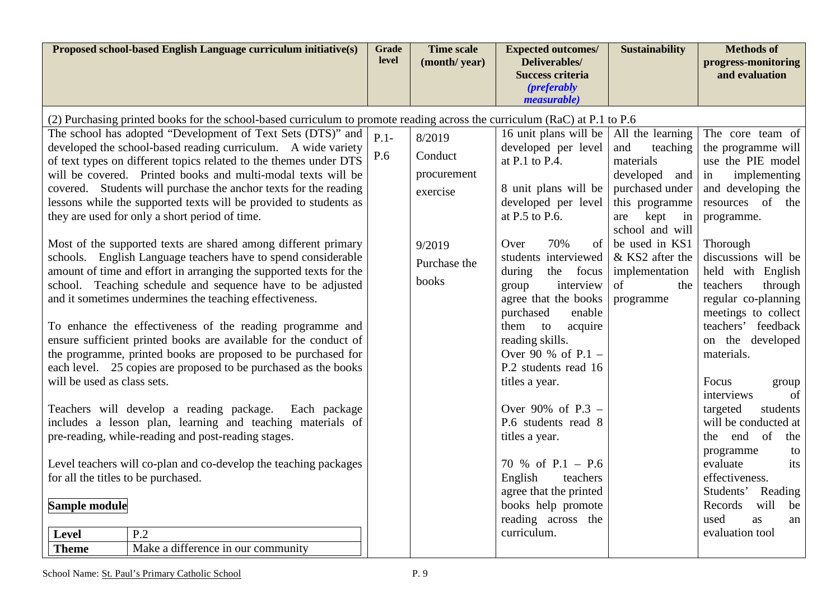| Proposed school-based English Language curriculum initiative(s)                                                                                                                                                                                                                                                                                                                                                                                                                                                                                                                                                                                                                                                                                                                                                                                                                                                                                                                                                                                                                                                                                                                                                                                                                                                                                                                                                                                                                                                                                                     | Grade<br>level | <b>Time scale</b><br>(month/year)                                               | <b>Expected outcomes/</b><br>Deliverables/<br><b>Success criteria</b><br><i>(preferably)</i>                                                                                                                                                                                                                                                                                                                                                                                                                                                                                                     | <b>Sustainability</b>                                                                                                                                                                                                           | <b>Methods of</b><br>progress-monitoring<br>and evaluation                                                                                                                                                                                                                                                                                                                                                                                                                                                                                                                                    |
|---------------------------------------------------------------------------------------------------------------------------------------------------------------------------------------------------------------------------------------------------------------------------------------------------------------------------------------------------------------------------------------------------------------------------------------------------------------------------------------------------------------------------------------------------------------------------------------------------------------------------------------------------------------------------------------------------------------------------------------------------------------------------------------------------------------------------------------------------------------------------------------------------------------------------------------------------------------------------------------------------------------------------------------------------------------------------------------------------------------------------------------------------------------------------------------------------------------------------------------------------------------------------------------------------------------------------------------------------------------------------------------------------------------------------------------------------------------------------------------------------------------------------------------------------------------------|----------------|---------------------------------------------------------------------------------|--------------------------------------------------------------------------------------------------------------------------------------------------------------------------------------------------------------------------------------------------------------------------------------------------------------------------------------------------------------------------------------------------------------------------------------------------------------------------------------------------------------------------------------------------------------------------------------------------|---------------------------------------------------------------------------------------------------------------------------------------------------------------------------------------------------------------------------------|-----------------------------------------------------------------------------------------------------------------------------------------------------------------------------------------------------------------------------------------------------------------------------------------------------------------------------------------------------------------------------------------------------------------------------------------------------------------------------------------------------------------------------------------------------------------------------------------------|
|                                                                                                                                                                                                                                                                                                                                                                                                                                                                                                                                                                                                                                                                                                                                                                                                                                                                                                                                                                                                                                                                                                                                                                                                                                                                                                                                                                                                                                                                                                                                                                     |                |                                                                                 | <i>measurable</i> )                                                                                                                                                                                                                                                                                                                                                                                                                                                                                                                                                                              |                                                                                                                                                                                                                                 |                                                                                                                                                                                                                                                                                                                                                                                                                                                                                                                                                                                               |
| (2) Purchasing printed books for the school-based curriculum to promote reading across the curriculum (RaC) at P.1 to P.6<br>The school has adopted "Development of Text Sets (DTS)" and<br>developed the school-based reading curriculum. A wide variety<br>of text types on different topics related to the themes under DTS<br>will be covered. Printed books and multi-modal texts will be<br>covered. Students will purchase the anchor texts for the reading<br>lessons while the supported texts will be provided to students as<br>they are used for only a short period of time.<br>Most of the supported texts are shared among different primary<br>schools. English Language teachers have to spend considerable<br>amount of time and effort in arranging the supported texts for the<br>school. Teaching schedule and sequence have to be adjusted<br>and it sometimes undermines the teaching effectiveness.<br>To enhance the effectiveness of the reading programme and<br>ensure sufficient printed books are available for the conduct of<br>the programme, printed books are proposed to be purchased for<br>each level. 25 copies are proposed to be purchased as the books<br>will be used as class sets.<br>Teachers will develop a reading package.<br>Each package<br>includes a lesson plan, learning and teaching materials of<br>pre-reading, while-reading and post-reading stages.<br>Level teachers will co-plan and co-develop the teaching packages<br>for all the titles to be purchased.<br>Sample module<br>P.2<br><b>Level</b> | $P.1-$<br>P.6  | 8/2019<br>Conduct<br>procurement<br>exercise<br>9/2019<br>Purchase the<br>books | 16 unit plans will be<br>developed per level<br>at $P.1$ to $P.4$ .<br>8 unit plans will be<br>developed per level<br>at $P.5$ to $P.6$ .<br>70%<br>of<br>Over<br>students interviewed<br>during<br>the focus<br>interview<br>group<br>agree that the books<br>purchased<br>enable<br>them to<br>acquire<br>reading skills.<br>Over 90 % of $P.1 -$<br>P.2 students read 16<br>titles a year.<br>Over 90% of $P.3 -$<br>P.6 students read 8<br>titles a year.<br>70 % of $P.1 - P.6$<br>English<br>teachers<br>agree that the printed<br>books help promote<br>reading across the<br>curriculum. | All the learning<br>and<br>teaching<br>materials<br>developed<br>and<br>purchased under<br>this programme<br>are kept<br>in<br>school and will<br>be used in KS1<br>& KS2 after the<br>implementation<br>of<br>the<br>programme | The core team of<br>the programme will<br>use the PIE model<br>in<br>implementing<br>and developing the<br>resources of the<br>programme.<br>Thorough<br>discussions will be<br>held with English<br>teachers<br>through<br>regular co-planning<br>meetings to collect<br>teachers' feedback<br>on the developed<br>materials.<br>Focus<br>group<br>interviews<br>of<br>targeted<br>students<br>will be conducted at<br>the end of<br>the<br>programme<br>to<br>evaluate<br>its<br>effectiveness.<br>Students' Reading<br>will<br>Records<br>be<br>used<br><b>as</b><br>an<br>evaluation tool |
| <b>Theme</b><br>Make a difference in our community                                                                                                                                                                                                                                                                                                                                                                                                                                                                                                                                                                                                                                                                                                                                                                                                                                                                                                                                                                                                                                                                                                                                                                                                                                                                                                                                                                                                                                                                                                                  |                |                                                                                 |                                                                                                                                                                                                                                                                                                                                                                                                                                                                                                                                                                                                  |                                                                                                                                                                                                                                 |                                                                                                                                                                                                                                                                                                                                                                                                                                                                                                                                                                                               |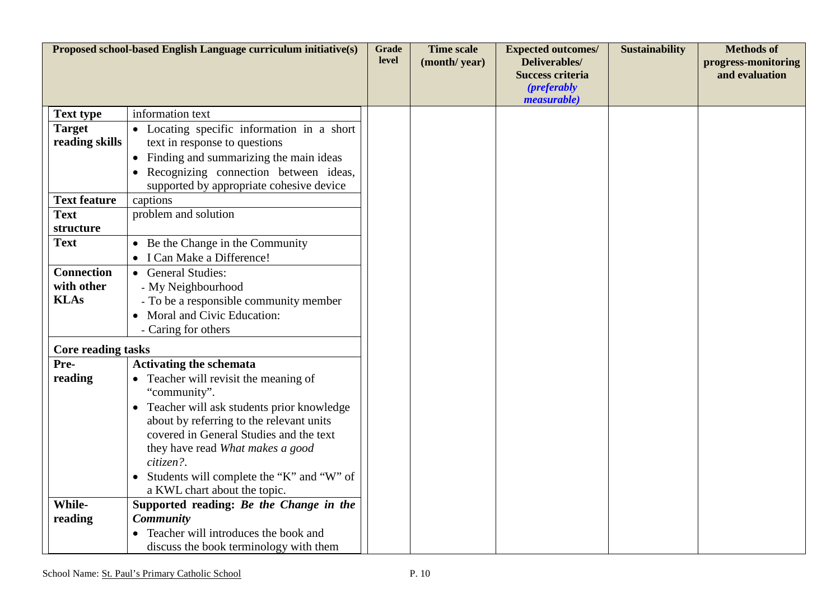| Proposed school-based English Language curriculum initiative(s) |                                             | <b>Grade</b> | <b>Time scale</b> | <b>Expected outcomes/</b>                                                              | <b>Sustainability</b> | <b>Methods of</b>                     |
|-----------------------------------------------------------------|---------------------------------------------|--------------|-------------------|----------------------------------------------------------------------------------------|-----------------------|---------------------------------------|
|                                                                 |                                             | level        | (month/year)      | Deliverables/<br><b>Success criteria</b><br>( <i>preferably</i><br><i>measurable</i> ) |                       | progress-monitoring<br>and evaluation |
| <b>Text type</b>                                                | information text                            |              |                   |                                                                                        |                       |                                       |
| <b>Target</b>                                                   | • Locating specific information in a short  |              |                   |                                                                                        |                       |                                       |
| reading skills                                                  | text in response to questions               |              |                   |                                                                                        |                       |                                       |
|                                                                 | • Finding and summarizing the main ideas    |              |                   |                                                                                        |                       |                                       |
|                                                                 | • Recognizing connection between ideas,     |              |                   |                                                                                        |                       |                                       |
|                                                                 | supported by appropriate cohesive device    |              |                   |                                                                                        |                       |                                       |
| <b>Text feature</b>                                             | captions                                    |              |                   |                                                                                        |                       |                                       |
| <b>Text</b>                                                     | problem and solution                        |              |                   |                                                                                        |                       |                                       |
| structure                                                       |                                             |              |                   |                                                                                        |                       |                                       |
| <b>Text</b>                                                     | • Be the Change in the Community            |              |                   |                                                                                        |                       |                                       |
|                                                                 | • I Can Make a Difference!                  |              |                   |                                                                                        |                       |                                       |
| <b>Connection</b>                                               | • General Studies:                          |              |                   |                                                                                        |                       |                                       |
| with other                                                      | - My Neighbourhood                          |              |                   |                                                                                        |                       |                                       |
| <b>KLAs</b>                                                     | - To be a responsible community member      |              |                   |                                                                                        |                       |                                       |
|                                                                 | Moral and Civic Education:                  |              |                   |                                                                                        |                       |                                       |
|                                                                 | - Caring for others                         |              |                   |                                                                                        |                       |                                       |
| <b>Core reading tasks</b>                                       |                                             |              |                   |                                                                                        |                       |                                       |
| Pre-                                                            | <b>Activating the schemata</b>              |              |                   |                                                                                        |                       |                                       |
| reading                                                         | • Teacher will revisit the meaning of       |              |                   |                                                                                        |                       |                                       |
|                                                                 | "community".                                |              |                   |                                                                                        |                       |                                       |
|                                                                 | • Teacher will ask students prior knowledge |              |                   |                                                                                        |                       |                                       |
|                                                                 | about by referring to the relevant units    |              |                   |                                                                                        |                       |                                       |
|                                                                 | covered in General Studies and the text     |              |                   |                                                                                        |                       |                                       |
|                                                                 | they have read What makes a good            |              |                   |                                                                                        |                       |                                       |
|                                                                 | citizen?.                                   |              |                   |                                                                                        |                       |                                       |
|                                                                 | Students will complete the "K" and "W" of   |              |                   |                                                                                        |                       |                                       |
|                                                                 | a KWL chart about the topic.                |              |                   |                                                                                        |                       |                                       |
| While-                                                          | Supported reading: Be the Change in the     |              |                   |                                                                                        |                       |                                       |
| reading                                                         | Community                                   |              |                   |                                                                                        |                       |                                       |
|                                                                 | Teacher will introduces the book and        |              |                   |                                                                                        |                       |                                       |
|                                                                 | discuss the book terminology with them      |              |                   |                                                                                        |                       |                                       |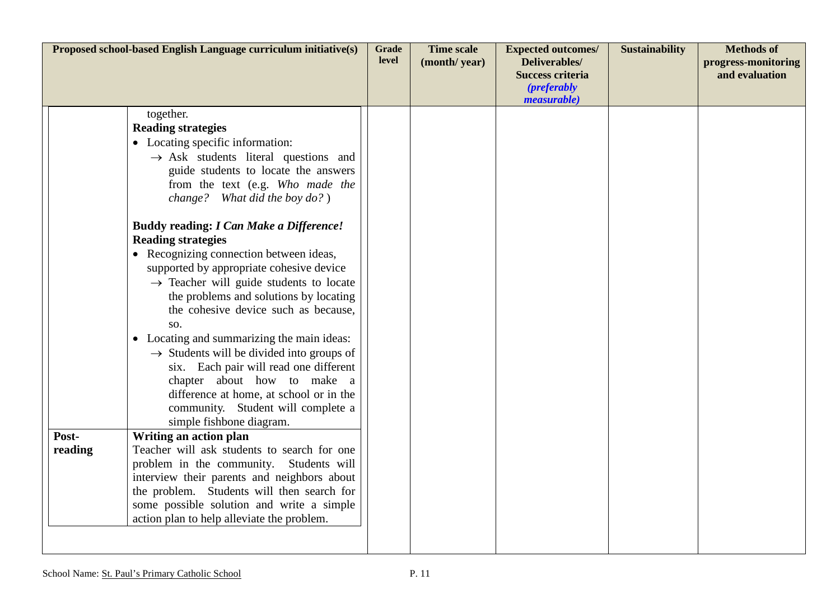| Proposed school-based English Language curriculum initiative(s) |                                                                                | <b>Grade</b><br>level | <b>Time scale</b><br>(month/year) | <b>Expected outcomes/</b><br>Deliverables/<br><b>Success criteria</b> | <b>Sustainability</b> | <b>Methods of</b><br>progress-monitoring<br>and evaluation |
|-----------------------------------------------------------------|--------------------------------------------------------------------------------|-----------------------|-----------------------------------|-----------------------------------------------------------------------|-----------------------|------------------------------------------------------------|
|                                                                 |                                                                                |                       |                                   | <i>(preferably)</i><br><i>measurable</i> )                            |                       |                                                            |
|                                                                 | together.<br><b>Reading strategies</b>                                         |                       |                                   |                                                                       |                       |                                                            |
|                                                                 | • Locating specific information:                                               |                       |                                   |                                                                       |                       |                                                            |
|                                                                 | $\rightarrow$ Ask students literal questions and                               |                       |                                   |                                                                       |                       |                                                            |
|                                                                 | guide students to locate the answers                                           |                       |                                   |                                                                       |                       |                                                            |
|                                                                 | from the text (e.g. Who made the                                               |                       |                                   |                                                                       |                       |                                                            |
|                                                                 | change? What did the boy $do?$ )                                               |                       |                                   |                                                                       |                       |                                                            |
|                                                                 | <b>Buddy reading: I Can Make a Difference!</b><br><b>Reading strategies</b>    |                       |                                   |                                                                       |                       |                                                            |
|                                                                 | • Recognizing connection between ideas,                                        |                       |                                   |                                                                       |                       |                                                            |
|                                                                 | supported by appropriate cohesive device                                       |                       |                                   |                                                                       |                       |                                                            |
|                                                                 | $\rightarrow$ Teacher will guide students to locate                            |                       |                                   |                                                                       |                       |                                                            |
|                                                                 | the problems and solutions by locating<br>the cohesive device such as because, |                       |                                   |                                                                       |                       |                                                            |
|                                                                 | SO.                                                                            |                       |                                   |                                                                       |                       |                                                            |
|                                                                 | • Locating and summarizing the main ideas:                                     |                       |                                   |                                                                       |                       |                                                            |
|                                                                 | $\rightarrow$ Students will be divided into groups of                          |                       |                                   |                                                                       |                       |                                                            |
|                                                                 | six. Each pair will read one different                                         |                       |                                   |                                                                       |                       |                                                            |
|                                                                 | chapter about how to make a                                                    |                       |                                   |                                                                       |                       |                                                            |
|                                                                 | difference at home, at school or in the                                        |                       |                                   |                                                                       |                       |                                                            |
|                                                                 | community. Student will complete a                                             |                       |                                   |                                                                       |                       |                                                            |
| Post-                                                           | simple fishbone diagram.<br>Writing an action plan                             |                       |                                   |                                                                       |                       |                                                            |
| reading                                                         | Teacher will ask students to search for one                                    |                       |                                   |                                                                       |                       |                                                            |
|                                                                 | problem in the community. Students will                                        |                       |                                   |                                                                       |                       |                                                            |
|                                                                 | interview their parents and neighbors about                                    |                       |                                   |                                                                       |                       |                                                            |
|                                                                 | the problem. Students will then search for                                     |                       |                                   |                                                                       |                       |                                                            |
|                                                                 | some possible solution and write a simple                                      |                       |                                   |                                                                       |                       |                                                            |
|                                                                 | action plan to help alleviate the problem.                                     |                       |                                   |                                                                       |                       |                                                            |
|                                                                 |                                                                                |                       |                                   |                                                                       |                       |                                                            |